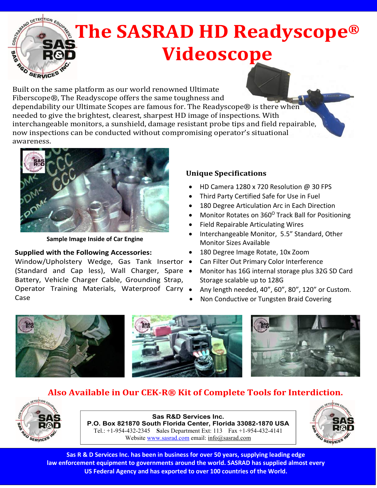

 Built on the same platform as our world renowned Ultimate Fiberscope®, The Readyscope offers the same toughness and dependability our Ultimate Scopes are famous for. The Readyscope® is there when needed to give the brightest, clearest, sharpest HD image of inspections. With interchangeable monitors, a sunshield, damage resistant probe tips and field repairable, now inspections can be conducted without compromising operator's situational awareness.



**Sample Image Inside of Car Engine**

## **Supplied with the Following Accessories:**

Window/Upholstery Wedge, Gas Tank Insertor . (Standard and Cap less), Wall Charger, Spare . Battery, Vehicle Charger Cable, Grounding Strap, Operator Training Materials, Waterproof Carry . Case

## **Unique Specifications**

- HD Camera 1280 x 720 Resolution @ 30 FPS
- Third Party Certified Safe for Use in Fuel
- 180 Degree Articulation Arc in Each Direction
- Monitor Rotates on 360<sup>0</sup> Track Ball for Positioning
- Field Repairable Articulating Wires
- Interchangeable Monitor, 5.5" Standard, Other Monitor Sizes Available
- 180 Degree Image Rotate, 10x Zoom
- Can Filter Out Primary Color Interference
- Monitor has 16G internal storage plus 32G SD Card Storage scalable up to 128G
- Any length needed, 40", 60", 80", 120" or Custom.
- Non Conductive or Tungsten Braid Covering



## **Also Available in Our CEK-R® Kit of Complete Tools for Interdiction.**



**Sas R&D Services Inc. P.O. Box 821870 South Florida Center, Florida 33082-1870 USA**  Tel.: +1-954-432-2345 **S**ales Department Ext: 113 Fax +1-954-432-4141 Website www.sasrad.com email: info@sasrad.com



**Sas R & D Services Inc. has been in business for over 50 years, supplying leading edge law enforcement equipment to governments around the world. SASRAD has supplied almost every US Federal Agency and has exported to over 100 countries of the World.**